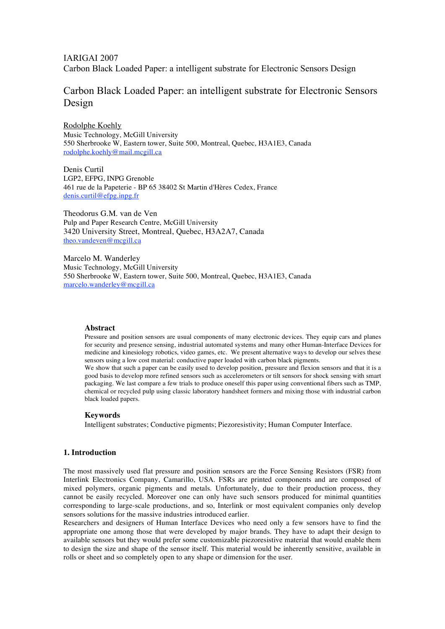# Carbon Black Loaded Paper: an intelligent substrate for Electronic Sensors Design

Rodolphe Koehly Music Technology, McGill University 550 Sherbrooke W, Eastern tower, Suite 500, Montreal, Quebec, H3A1E3, Canada rodolphe.koehly@mail.mcgill.ca

Denis Curtil LGP2, EFPG, INPG Grenoble 461 rue de la Papeterie - BP 65 38402 St Martin d'Hères Cedex, France denis.curtil@efpg.inpg.fr

Theodorus G.M. van de Ven Pulp and Paper Research Centre, McGill University 3420 University Street, Montreal, Quebec, H3A2A7, Canada theo.vandeven@mcgill.ca

Marcelo M. Wanderley Music Technology, McGill University 550 Sherbrooke W, Eastern tower, Suite 500, Montreal, Quebec, H3A1E3, Canada marcelo.wanderley@mcgill.ca

### **Abstract**

Pressure and position sensors are usual components of many electronic devices. They equip cars and planes for security and presence sensing, industrial automated systems and many other Human-Interface Devices for medicine and kinesiology robotics, video games, etc. We present alternative ways to develop our selves these sensors using a low cost material: conductive paper loaded with carbon black pigments.

We show that such a paper can be easily used to develop position, pressure and flexion sensors and that it is a good basis to develop more refined sensors such as accelerometers or tilt sensors for shock sensing with smart packaging. We last compare a few trials to produce oneself this paper using conventional fibers such as TMP, chemical or recycled pulp using classic laboratory handsheet formers and mixing those with industrial carbon black loaded papers.

### **Keywords**

Intelligent substrates; Conductive pigments; Piezoresistivity; Human Computer Interface.

### **1. Introduction**

The most massively used flat pressure and position sensors are the Force Sensing Resistors (FSR) from Interlink Electronics Company, Camarillo, USA. FSRs are printed components and are composed of mixed polymers, organic pigments and metals. Unfortunately, due to their production process, they cannot be easily recycled. Moreover one can only have such sensors produced for minimal quantities corresponding to large-scale productions, and so, Interlink or most equivalent companies only develop sensors solutions for the massive industries introduced earlier.

Researchers and designers of Human Interface Devices who need only a few sensors have to find the appropriate one among those that were developed by major brands. They have to adapt their design to available sensors but they would prefer some customizable piezoresistive material that would enable them to design the size and shape of the sensor itself. This material would be inherently sensitive, available in rolls or sheet and so completely open to any shape or dimension for the user.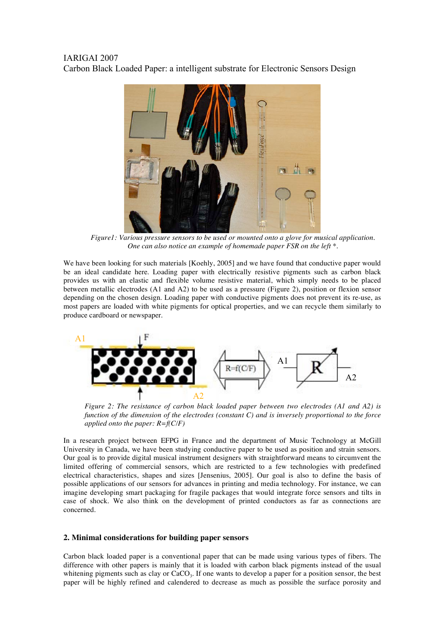

*Figure1: Various pressure sensors to be used or mounted onto a glove for musical application. One can also notice an example of homemade paper FSR on the left \*.*

We have been looking for such materials [Koehly, 2005] and we have found that conductive paper would be an ideal candidate here. Loading paper with electrically resistive pigments such as carbon black provides us with an elastic and flexible volume resistive material, which simply needs to be placed between metallic electrodes (A1 and A2) to be used as a pressure (Figure 2), position or flexion sensor depending on the chosen design. Loading paper with conductive pigments does not prevent its re-use, as most papers are loaded with white pigments for optical properties, and we can recycle them similarly to produce cardboard or newspaper.



*Figure 2: The resistance of carbon black loaded paper between two electrodes (A1 and A2) is function of the dimension of the electrodes (constant C) and is inversely proportional to the force applied onto the paper: R=f(C/F)*

In a research project between EFPG in France and the department of Music Technology at McGill University in Canada, we have been studying conductive paper to be used as position and strain sensors. Our goal is to provide digital musical instrument designers with straightforward means to circumvent the limited offering of commercial sensors, which are restricted to a few technologies with predefined electrical characteristics, shapes and sizes [Jensenius, 2005]. Our goal is also to define the basis of possible applications of our sensors for advances in printing and media technology. For instance, we can imagine developing smart packaging for fragile packages that would integrate force sensors and tilts in case of shock. We also think on the development of printed conductors as far as connections are concerned.

### **2. Minimal considerations for building paper sensors**

Carbon black loaded paper is a conventional paper that can be made using various types of fibers. The difference with other papers is mainly that it is loaded with carbon black pigments instead of the usual whitening pigments such as clay or  $CaCO<sub>3</sub>$ . If one wants to develop a paper for a position sensor, the best paper will be highly refined and calendered to decrease as much as possible the surface porosity and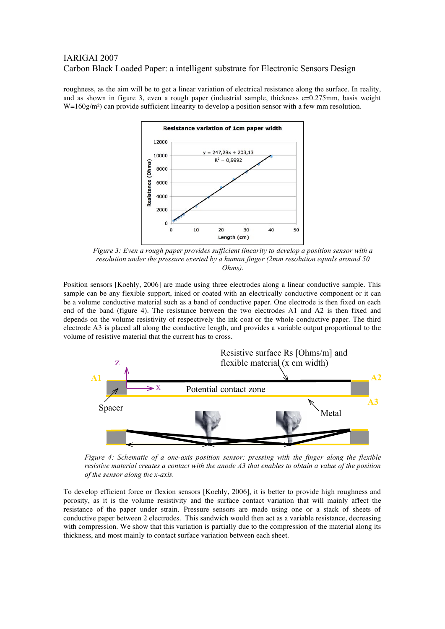roughness, as the aim will be to get a linear variation of electrical resistance along the surface. In reality, and as shown in figure 3, even a rough paper (industrial sample, thickness e=0.275mm, basis weight  $W=160g/m<sup>2</sup>$ ) can provide sufficient linearity to develop a position sensor with a few mm resolution.



*Figure 3: Even a rough paper provides sufficient linearity to develop a position sensor with a resolution under the pressure exerted by a human finger (2mm resolution equals around 50 Ohms).*

Position sensors [Koehly, 2006] are made using three electrodes along a linear conductive sample. This sample can be any flexible support, inked or coated with an electrically conductive component or it can be a volume conductive material such as a band of conductive paper. One electrode is then fixed on each end of the band (figure 4). The resistance between the two electrodes A1 and A2 is then fixed and depends on the volume resistivity of respectively the ink coat or the whole conductive paper. The third electrode A3 is placed all along the conductive length, and provides a variable output proportional to the volume of resistive material that the current has to cross.



*Figure 4: Schematic of a one-axis position sensor: pressing with the finger along the flexible* resistive material creates a contact with the anode A3 that enables to obtain a value of the position *of the sensor along the x-axis.*

To develop efficient force or flexion sensors [Koehly, 2006], it is better to provide high roughness and porosity, as it is the volume resistivity and the surface contact variation that will mainly affect the resistance of the paper under strain. Pressure sensors are made using one or a stack of sheets of conductive paper between 2 electrodes. This sandwich would then act as a variable resistance, decreasing with compression. We show that this variation is partially due to the compression of the material along its thickness, and most mainly to contact surface variation between each sheet.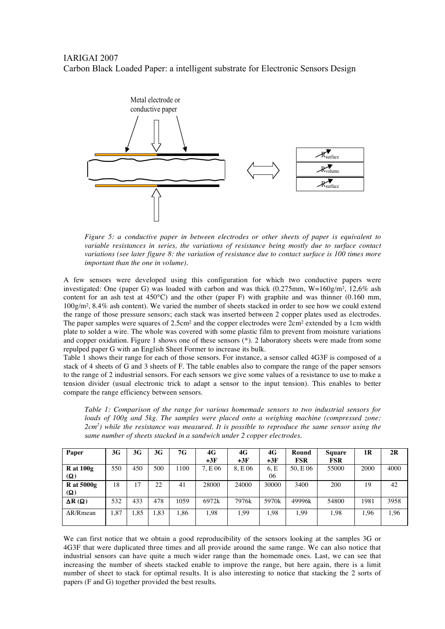## IARIGAI 2007

Carbon Black Loaded Paper: a intelligent substrate for Electronic Sensors Design



*Figure 5: a conductive paper in between electrodes or other sheets of paper is equivalent to variable resistances in series, the variations of resistance being mostly due to surface contact variations (see later figure 8: the variation of resistance due to contact surface is 100 times more important than the one in volume).*

A few sensors were developed using this configuration for which two conductive papers were investigated: One (paper G) was loaded with carbon and was thick  $(0.275 \text{mm}, W=160 \text{g/m}^2, 12,6\%$  ash content for an ash test at 450°C) and the other (paper F) with graphite and was thinner (0.160 mm, 100g/m², 8.4% ash content). We varied the number of sheets stacked in order to see how we could extend the range of those pressure sensors; each stack was inserted between 2 copper plates used as electrodes. The paper samples were squares of 2.5cm<sup>2</sup> and the copper electrodes were  $2cm<sup>2</sup>$  extended by a 1cm width plate to solder a wire. The whole was covered with some plastic film to prevent from moisture variations and copper oxidation. Figure 1 shows one of these sensors (\*). 2 laboratory sheets were made from some repulped paper G with an English Sheet Former to increase its bulk.

Table 1 shows their range for each of those sensors. For instance, a sensor called 4G3F is composed of a stack of 4 sheets of G and 3 sheets of F. The table enables also to compare the range of the paper sensors to the range of 2 industrial sensors. For each sensors we give some values of a resistance to use to make a tension divider (usual electronic trick to adapt a sensor to the input tension). This enables to better compare the range efficiency between sensors.

*Table 1: Comparison of the range for various homemade sensors to two industrial sensors for loads of 100g and 5kg. The samples were placed onto a weighing machine (compressed zone: 2cm<sup>2</sup> ) while the resistance was measured. It is possible to reproduce the same sensor using the same number of sheets stacked in a sandwich under 2 copper electrodes.*

| Paper              | 3G   | 3G  | 3G   | 7G   | 4G      | 4G      | 4G    | Round      | <b>Square</b> | 1R   | 2R   |
|--------------------|------|-----|------|------|---------|---------|-------|------------|---------------|------|------|
|                    |      |     |      |      | $+3F$   | $+3F$   | $+3F$ | <b>FSR</b> | <b>FSR</b>    |      |      |
| $R$ at $100g$      | 550  | 450 | 500  | 1100 | 7, E 06 | 8, E 06 | 6.E   | 50, E 06   | 55000         | 2000 | 4000 |
| $(\Omega)$         |      |     |      |      |         |         | 06    |            |               |      |      |
| $R$ at 5000g       | 18   | 17  | 22   | 41   | 28000   | 24000   | 30000 | 3400       | 200           | 19   | 42   |
| $(\Omega)$         |      |     |      |      |         |         |       |            |               |      |      |
| $\Delta R(\Omega)$ | 532  | 433 | 478  | 1059 | 6972k   | 7976k   | 5970k | 49996k     | 54800         | 1981 | 3958 |
| $\Delta R/R$ mean  | .,87 | .85 | 1,83 | 1.86 | 1.98    | . 99    | 1,98  | 1.99       | 1,98          | 1,96 | 1,96 |
|                    |      |     |      |      |         |         |       |            |               |      |      |

We can first notice that we obtain a good reproducibility of the sensors looking at the samples 3G or 4G3F that were duplicated three times and all provide around the same range. We can also notice that industrial sensors can have quite a much wider range than the homemade ones. Last, we can see that increasing the number of sheets stacked enable to improve the range, but here again, there is a limit number of sheet to stack for optimal results. It is also interesting to notice that stacking the 2 sorts of papers (F and G) together provided the best results.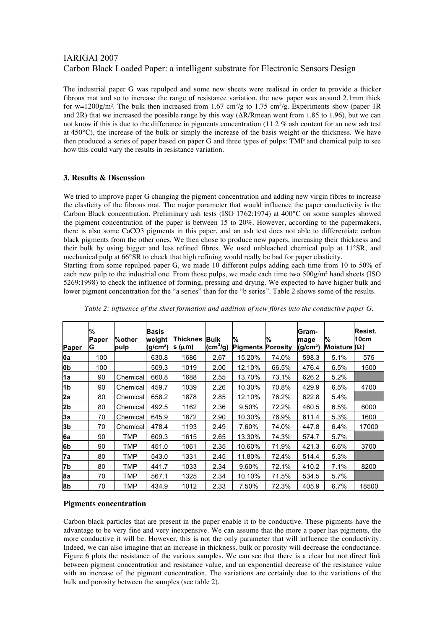The industrial paper G was repulped and some new sheets were realised in order to provide a thicker fibrous mat and so to increase the range of resistance variation. the new paper was around 2.1mm thick for w=1200g/m<sup>2</sup>. The bulk then increased from 1.67 cm<sup>3</sup>/g to 1.75 cm<sup>3</sup>/g. Experiments show (paper 1R and 2R) that we increased the possible range by this way  $(\Delta R/R)$  went from 1.85 to 1.96), but we can not know if this is due to the difference in pigments concentration (11.2 % ash content for an new ash test at 450°C), the increase of the bulk or simply the increase of the basis weight or the thickness. We have then produced a series of paper based on paper G and three types of pulps: TMP and chemical pulp to see how this could vary the results in resistance variation.

### **3. Results & Discussion**

We tried to improve paper G changing the pigment concentration and adding new virgin fibres to increase the elasticity of the fibrous mat. The major parameter that would influence the paper conductivity is the Carbon Black concentration. Preliminary ash tests (ISO 1762:1974) at 400°C on some samples showed the pigment concentration of the paper is between 15 to 20%. However, according to the papermakers, there is also some CaCO3 pigments in this paper, and an ash test does not able to differentiate carbon black pigments from the other ones. We then chose to produce new papers, increasing their thickness and their bulk by using bigger and less refined fibres. We used unbleached chemical pulp at 11°SR, and mechanical pulp at 66°SR to check that high refining would really be bad for paper elasticity.

Starting from some repulped paper G, we made 10 different pulps adding each time from 10 to 50% of each new pulp to the industrial one. From those pulps, we made each time two 500g/m<sup>2</sup> hand sheets (ISO 5269:1998) to check the influence of forming, pressing and drying. We expected to have higher bulk and lower pigment concentration for the "a series" than for the "b series". Table 2 shows some of the results.

| Paper          | %<br>Paper<br>G | %other<br>pulp | Basis<br>weight<br>(g/cm <sup>2</sup> ) | Thicknes<br>s (μm) | <b>Bulk</b><br>$\text{(cm}^3\text{/g)}$ | %<br><b>Pigments Porosity</b> | %     | Gram-<br>mage<br>(g/cm <sup>2</sup> ) | %<br>Moisture ( $\Omega$ ) | Resist.<br>10cm |
|----------------|-----------------|----------------|-----------------------------------------|--------------------|-----------------------------------------|-------------------------------|-------|---------------------------------------|----------------------------|-----------------|
| 0a             | 100             |                | 630.8                                   | 1686               | 2.67                                    | 15.20%                        | 74.0% | 598.3                                 | 5.1%                       | 575             |
| <b>Ob</b>      | 100             |                | 509.3                                   | 1019               | 2.00                                    | 12.10%                        | 66.5% | 476.4                                 | 6.5%                       | 1500            |
| 1a             | 90              | Chemical       | 660.8                                   | 1688               | 2.55                                    | 13.70%                        | 73.1% | 626.2                                 | 5.2%                       |                 |
| 1 <sub>b</sub> | 90              | Chemical       | 459.7                                   | 1039               | 2.26                                    | 10.30%                        | 70.8% | 429.9                                 | 6.5%                       | 4700            |
| 2a             | 80              | Chemical       | 658.2                                   | 1878               | 2.85                                    | 12.10%                        | 76.2% | 622.8                                 | 5.4%                       |                 |
| 2b             | 80              | Chemical       | 492.5                                   | 1162               | 2.36                                    | 9.50%                         | 72.2% | 460.5                                 | 6.5%                       | 6000            |
| 3a             | 70              | Chemical       | 645.9                                   | 1872               | 2.90                                    | 10.30%                        | 76.9% | 611.4                                 | 5.3%                       | 1600            |
| 3b             | 70              | Chemical       | 478.4                                   | 1193               | 2.49                                    | 7.60%                         | 74.0% | 447.8                                 | 6.4%                       | 17000           |
| 6a             | 90              | TMP            | 609.3                                   | 1615               | 2.65                                    | 13.30%                        | 74.3% | 574.7                                 | 5.7%                       |                 |
| 6b             | 90              | TMP            | 451.0                                   | 1061               | 2.35                                    | 10.60%                        | 71.9% | 421.3                                 | 6.6%                       | 3700            |
| 7а             | 80              | TMP            | 543.0                                   | 1331               | 2.45                                    | 11.80%                        | 72.4% | 514.4                                 | 5.3%                       |                 |
| 7b             | 80              | TMP            | 441.7                                   | 1033               | 2.34                                    | 9.60%                         | 72.1% | 410.2                                 | 7.1%                       | 8200            |
| 8a             | 70              | TMP            | 567.1                                   | 1325               | 2.34                                    | 10.10%                        | 71.5% | 534.5                                 | 5.7%                       |                 |
| 8b             | 70              | TMP            | 434.9                                   | 1012               | 2.33                                    | 7.50%                         | 72.3% | 405.9                                 | 6.7%                       | 18500           |

*Table 2: influence of the sheet formation and addition of new fibres into the conductive paper G.*

### **Pigments concentration**

Carbon black particles that are present in the paper enable it to be conductive. These pigments have the advantage to be very fine and very inexpensive. We can assume that the more a paper has pigments, the more conductive it will be. However, this is not the only parameter that will influence the conductivity. Indeed, we can also imagine that an increase in thickness, bulk or porosity will decrease the conductance. Figure 6 plots the resistance of the various samples. We can see that there is a clear but not direct link between pigment concentration and resistance value, and an exponential decrease of the resistance value with an increase of the pigment concentration. The variations are certainly due to the variations of the bulk and porosity between the samples (see table 2).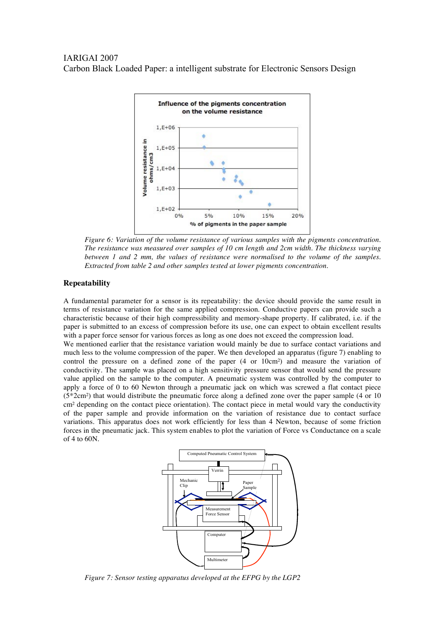

*Figure 6: Variation of the volume resistance of various samples with the pigments concentration. The resistance was measured over samples of 10 cm length and 2cm width. The thickness varying between 1 and 2 mm, the values of resistance were normalised to the volume of the samples. Extracted from table 2 and other samples tested at lower pigments concentration.*

### **Repeatability**

A fundamental parameter for a sensor is its repeatability: the device should provide the same result in terms of resistance variation for the same applied compression. Conductive papers can provide such a characteristic because of their high compressibility and memory-shape property. If calibrated, i.e. if the paper is submitted to an excess of compression before its use, one can expect to obtain excellent results with a paper force sensor for various forces as long as one does not exceed the compression load.

We mentioned earlier that the resistance variation would mainly be due to surface contact variations and much less to the volume compression of the paper. We then developed an apparatus (figure 7) enabling to control the pressure on a defined zone of the paper (4 or 10cm²) and measure the variation of conductivity. The sample was placed on a high sensitivity pressure sensor that would send the pressure value applied on the sample to the computer. A pneumatic system was controlled by the computer to apply a force of 0 to 60 Newton through a pneumatic jack on which was screwed a flat contact piece (5\*2cm²) that would distribute the pneumatic force along a defined zone over the paper sample (4 or 10 cm² depending on the contact piece orientation). The contact piece in metal would vary the conductivity of the paper sample and provide information on the variation of resistance due to contact surface variations. This apparatus does not work efficiently for less than 4 Newton, because of some friction forces in the pneumatic jack. This system enables to plot the variation of Force vs Conductance on a scale of 4 to 60N.



*Figure 7: Sensor testing apparatus developed at the EFPG by the LGP2*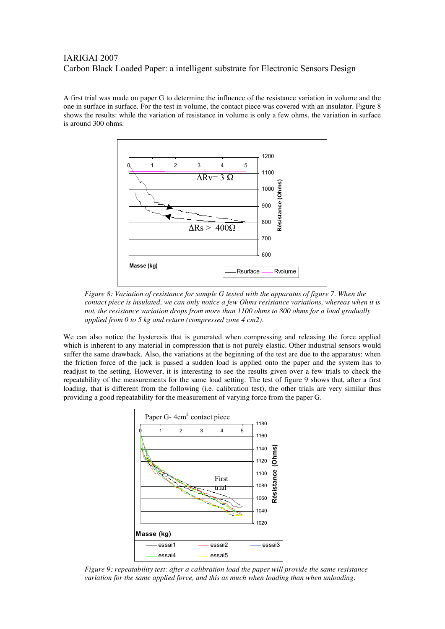A first trial was made on paper G to determine the influence of the resistance variation in volume and the one in surface in surface. For the test in volume, the contact piece was covered with an insulator. Figure 8 shows the results: while the variation of resistance in volume is only a few ohms, the variation in surface is around 300 ohms.



*Figure 8: Variation of resistance for sample G tested with the apparatus of figure 7. When the contact piece is insulated, we can only notice a few Ohms resistance variations, whereas when it is not, the resistance variation drops from more than 1100 ohms to 800 ohms for a load gradually applied from 0 to 5 kg and return (compressed zone 4 cm2).*

We can also notice the hysteresis that is generated when compressing and releasing the force applied which is inherent to any material in compression that is not purely elastic. Other industrial sensors would suffer the same drawback. Also, the variations at the beginning of the test are due to the apparatus: when the friction force of the jack is passed a sudden load is applied onto the paper and the system has to readjust to the setting. However, it is interesting to see the results given over a few trials to check the repeatability of the measurements for the same load setting. The test of figure 9 shows that, after a first loading, that is different from the following (i.e. calibration test), the other trials are very similar thus providing a good repeatability for the measurement of varying force from the paper G.



*Figure 9: repeatability test: after a calibration load the paper will provide the same resistance variation for the same applied force, and this as much when loading than when unloading.*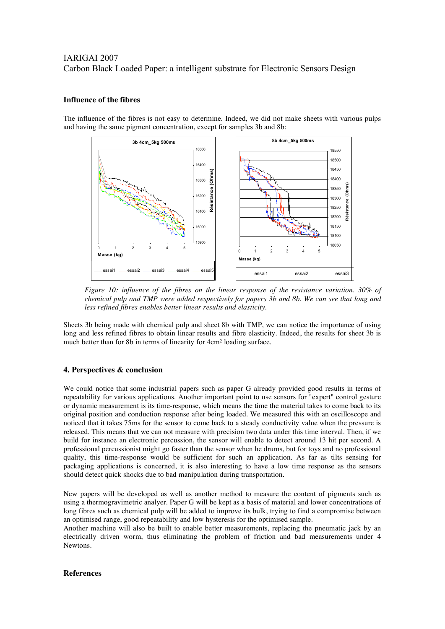### **Influence of the fibres**

The influence of the fibres is not easy to determine. Indeed, we did not make sheets with various pulps and having the same pigment concentration, except for samples 3b and 8b:



*Figure 10: influence of the fibres on the linear response of the resistance variation. 30% of chemical pulp and TMP were added respectively for papers 3b and 8b. We can see that long and less refined fibres enables better linear results and elasticity.*

Sheets 3b being made with chemical pulp and sheet 8b with TMP, we can notice the importance of using long and less refined fibres to obtain linear results and fibre elasticity. Indeed, the results for sheet 3b is much better than for 8b in terms of linearity for 4cm² loading surface.

### **4. Perspectives & conclusion**

We could notice that some industrial papers such as paper G already provided good results in terms of repeatability for various applications. Another important point to use sensors for "expert" control gesture or dynamic measurement is its time-response, which means the time the material takes to come back to its original position and conduction response after being loaded. We measured this with an oscilloscope and noticed that it takes 75ms for the sensor to come back to a steady conductivity value when the pressure is released. This means that we can not measure with precision two data under this time interval. Then, if we build for instance an electronic percussion, the sensor will enable to detect around 13 hit per second. A professional percussionist might go faster than the sensor when he drums, but for toys and no professional quality, this time-response would be sufficient for such an application. As far as tilts sensing for packaging applications is concerned, it is also interesting to have a low time response as the sensors should detect quick shocks due to bad manipulation during transportation.

New papers will be developed as well as another method to measure the content of pigments such as using a thermogravimetric analyer. Paper G will be kept as a basis of material and lower concentrations of long fibres such as chemical pulp will be added to improve its bulk, trying to find a compromise between an optimised range, good repeatability and low hysteresis for the optimised sample.

Another machine will also be built to enable better measurements, replacing the pneumatic jack by an electrically driven worm, thus eliminating the problem of friction and bad measurements under 4 Newtons.

### **References**